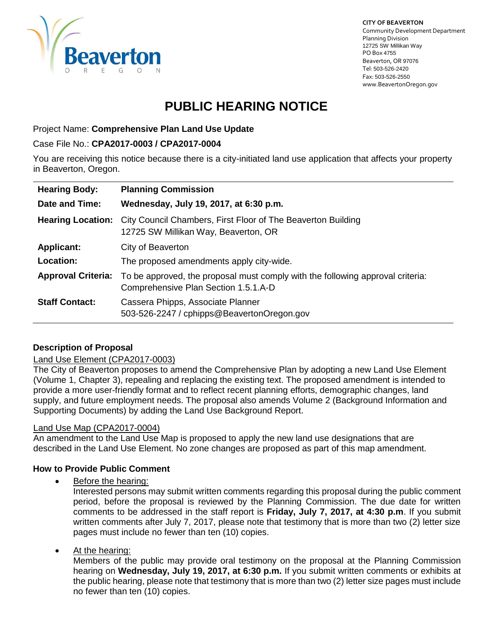

**CITY OF BEAVERTON** Community Development Department Planning Division 12725 SW Millikan Way PO Box 4755 Beaverton, OR 97076 Tel: 503-526-2420 Fax: 503-526-2550 www.BeavertonOregon.gov

# **PUBLIC HEARING NOTICE**

Project Name: **Comprehensive Plan Land Use Update**

#### Case File No.: **CPA2017-0003 / CPA2017-0004**

You are receiving this notice because there is a city-initiated land use application that affects your property in Beaverton, Oregon.

| <b>Hearing Body:</b>      | <b>Planning Commission</b>                                                                                             |
|---------------------------|------------------------------------------------------------------------------------------------------------------------|
| Date and Time:            | Wednesday, July 19, 2017, at 6:30 p.m.                                                                                 |
| <b>Hearing Location:</b>  | City Council Chambers, First Floor of The Beaverton Building<br>12725 SW Millikan Way, Beaverton, OR                   |
| <b>Applicant:</b>         | City of Beaverton                                                                                                      |
| <b>Location:</b>          | The proposed amendments apply city-wide.                                                                               |
| <b>Approval Criteria:</b> | To be approved, the proposal must comply with the following approval criteria:<br>Comprehensive Plan Section 1.5.1.A-D |
| <b>Staff Contact:</b>     | Cassera Phipps, Associate Planner<br>503-526-2247 / cphipps@BeavertonOregon.gov                                        |

## **Description of Proposal**

## Land Use Element (CPA2017-0003)

The City of Beaverton proposes to amend the Comprehensive Plan by adopting a new Land Use Element (Volume 1, Chapter 3), repealing and replacing the existing text. The proposed amendment is intended to provide a more user-friendly format and to reflect recent planning efforts, demographic changes, land supply, and future employment needs. The proposal also amends Volume 2 (Background Information and Supporting Documents) by adding the Land Use Background Report.

## Land Use Map (CPA2017-0004)

An amendment to the Land Use Map is proposed to apply the new land use designations that are described in the Land Use Element. No zone changes are proposed as part of this map amendment.

## **How to Provide Public Comment**

• Before the hearing:

Interested persons may submit written comments regarding this proposal during the public comment period, before the proposal is reviewed by the Planning Commission. The due date for written comments to be addressed in the staff report is **Friday, July 7, 2017, at 4:30 p.m**. If you submit written comments after July 7, 2017, please note that testimony that is more than two (2) letter size pages must include no fewer than ten (10) copies.

At the hearing:

Members of the public may provide oral testimony on the proposal at the Planning Commission hearing on **Wednesday, July 19, 2017, at 6:30 p.m.** If you submit written comments or exhibits at the public hearing, please note that testimony that is more than two (2) letter size pages must include no fewer than ten (10) copies.